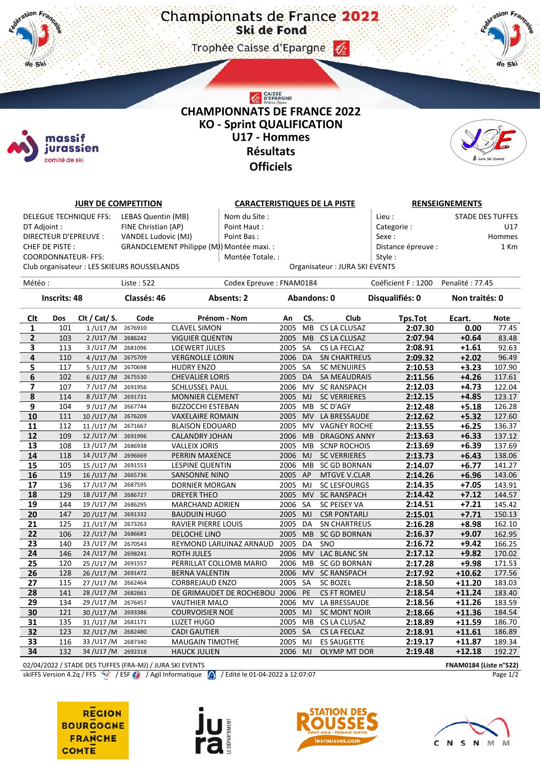Trophee Caisse d'Epargne (2)



## CAISSE<br>D'EPARGNE **CHAMPIONNATS DE FRANCE 2022 KO - Sprint QUALIFICATION U17 - Hommes Résultats Officiels**



|                       |                                                                                    | <b>JURY DE COMPETITION</b> |                                             |                                           | <b>CARACTERISTIQUES DE LA PISTE</b> |                    |                               |                            | <b>RENSEIGNEMENTS</b>   |             |  |  |
|-----------------------|------------------------------------------------------------------------------------|----------------------------|---------------------------------------------|-------------------------------------------|-------------------------------------|--------------------|-------------------------------|----------------------------|-------------------------|-------------|--|--|
|                       |                                                                                    | DELEGUE TECHNIQUE FFS:     | LEBAS Quentin (MB)                          | Nom du Site :                             |                                     |                    |                               | Lieu:                      | <b>STADE DES TUFFES</b> |             |  |  |
| DT Adjoint :          |                                                                                    |                            | FINE Christian (AP)                         | Point Haut:                               |                                     |                    |                               | Categorie:                 |                         | U17         |  |  |
| DIRECTEUR D'EPREUVE : |                                                                                    |                            | VANDEL Ludovic (MJ)                         | Point Bas:                                |                                     |                    |                               | Sexe:<br>Hommes            |                         |             |  |  |
| CHEF DE PISTE:        |                                                                                    |                            |                                             | GRANDCLEMENT Philippe (MJ) Montée maxi. : |                                     |                    |                               | Distance épreuve :<br>1 Km |                         |             |  |  |
|                       |                                                                                    | <b>COORDONNATEUR- FFS:</b> |                                             | Montée Totale. :                          |                                     |                    |                               | Style:                     |                         |             |  |  |
|                       |                                                                                    |                            | Club organisateur : LES SKIEURS ROUSSELANDS |                                           |                                     |                    | Organisateur: JURA SKI EVENTS |                            |                         |             |  |  |
|                       |                                                                                    |                            | Liste: 522                                  |                                           |                                     |                    |                               | Coéficient F: 1200         | Penalité: 77.45         |             |  |  |
| Météo :               |                                                                                    |                            |                                             |                                           | Codex Epreuve: FNAM0184             |                    |                               |                            |                         |             |  |  |
| <b>Inscrits: 48</b>   |                                                                                    | Classés: 46                | <b>Absents: 2</b>                           |                                           |                                     | <b>Abandons: 0</b> | Disqualifiés: 0               | Non traités: 0             |                         |             |  |  |
| Clt                   | Dos                                                                                | Clt / Cat/ S.              | Code                                        | Prénom - Nom                              | An                                  | CS.                | Club                          | Tps.Tot                    | Ecart.                  | <b>Note</b> |  |  |
| 1                     | 101                                                                                | $1$ /U17 /M                | 2676910                                     | <b>CLAVEL SIMON</b>                       | 2005                                | <b>MB</b>          | CS LA CLUSAZ                  | 2:07.30                    | 0.00                    | 77.45       |  |  |
| $\mathbf{2}$          | 103                                                                                | 2/U17/M 2686242            |                                             | <b>VIGUIER QUENTIN</b>                    |                                     |                    | 2005 MB CS LA CLUSAZ          | 2:07.94                    | $+0.64$                 | 83.48       |  |  |
| 3                     | 113                                                                                | 3 / U17 / M                | 2681096                                     | <b>LOEWERT JULES</b>                      | 2005                                | <b>SA</b>          | CS LA FECLAZ                  | 2:08.91                    | $+1.61$                 | 92.63       |  |  |
| 4                     | 110                                                                                | 4 / U17 / M                | 2675709                                     | <b>VERGNOLLE LORIN</b>                    | 2006 DA                             |                    | <b>SN CHARTREUS</b>           | 2:09.32                    | $+2.02$                 | 96.49       |  |  |
| 5                     | 117                                                                                | $5/$ U17 /M                | 2670698                                     | <b>HUDRY ENZO</b>                         | 2005                                | SA                 | <b>SC MENUIRES</b>            | 2:10.53                    | $+3.23$                 | 107.90      |  |  |
| 6                     | 102                                                                                | 6/U17/M 2675530            |                                             | <b>CHEVALIER LORIS</b>                    | 2005 DA                             |                    | <b>SA MEAUDRAIS</b>           | 2:11.56                    | $+4.26$                 | 117.61      |  |  |
| 7                     | 107                                                                                | 7/U17/M                    | 2691956                                     | <b>SCHLUSSEL PAUL</b>                     | 2006 MV                             |                    | <b>SC RANSPACH</b>            | 2:12.03                    | $+4.73$                 | 122.04      |  |  |
| 8                     | 114                                                                                | 8/U17/M                    | 2691731                                     | <b>MONNIER CLEMENT</b>                    | 2005                                | <b>MJ</b>          | <b>SC VERRIERES</b>           | 2:12.15                    | $+4.85$                 | 123.17      |  |  |
| 9                     | 104                                                                                | 9/U17/M                    | 2667744                                     | <b>BIZZOCCHI ESTEBAN</b>                  | 2005 MB                             |                    | SC D'AGY                      | 2:12.48                    | $+5.18$                 | 126.28      |  |  |
| 10                    | 111                                                                                | 10/U17/M                   | 2676209                                     | <b>VAXELAIRE ROMAIN</b>                   | 2005                                | <b>MV</b>          | LA BRESSAUDE                  | 2:12.62                    | $+5.32$                 | 127.60      |  |  |
| 11                    | 112                                                                                | 11/U17/M                   | 2671667                                     | <b>BLAISON EDOUARD</b>                    | 2005                                | <b>MV</b>          | <b>VAGNEY ROCHE</b>           | 2:13.55                    | $+6.25$                 | 136.37      |  |  |
| 12                    | 109                                                                                | 12/U17/M                   | 2691996                                     | CALANDRY JOHAN                            | 2006                                | <b>MB</b>          | <b>DRAGONS ANNY</b>           | 2:13.63                    | $+6.33$                 | 137.12      |  |  |
| 13                    | 108                                                                                | 13/U17/M                   | 2686938                                     | <b>VALLEIX JORIS</b>                      | 2005                                | MB                 | <b>SCNP ROCHOIS</b>           | 2:13.69                    | $+6.39$                 | 137.69      |  |  |
| 14                    | 118                                                                                | 14/U17/M                   | 2696669                                     | PERRIN MAXENCE                            | 2006 MJ                             |                    | <b>SC VERRIERES</b>           | 2:13.73                    | $+6.43$                 | 138.06      |  |  |
| 15                    | 105                                                                                | 15/U17/M                   | 2691553                                     | <b>LESPINE QUENTIN</b>                    | 2006                                | MВ                 | <b>SC GD BORNAN</b>           | 2:14.07                    | $+6.77$                 | 141.27      |  |  |
| 16                    | 119                                                                                | 16/U17/M 2665736           |                                             | <b>SANSONNE NINO</b>                      | 2005 AP                             |                    | <b>MTGVE V.CLAR</b>           | 2:14.26                    | $+6.96$                 | 143.06      |  |  |
| 17                    | 136                                                                                | 17/U17/M                   | 2687595                                     | DORNIER MORGAN                            | 2005 MJ                             |                    | <b>SC LESFOURGS</b>           | 2:14.35                    | $+7.05$                 | 143.91      |  |  |
| 18                    | 129                                                                                | 18/U17/M 2686727           |                                             | <b>DREYER THEO</b>                        | 2005 MV                             |                    | <b>SC RANSPACH</b>            | 2:14.42                    | $+7.12$                 | 144.57      |  |  |
| 19                    | 144                                                                                | 19/U17/M                   | 2686295                                     | <b>MARCHAND ADRIEN</b>                    | 2006 SA                             |                    | SC PEISEY VA                  | 2:14.51                    | $+7.21$                 | 145.42      |  |  |
| 20                    | 147                                                                                | 20/U17/M 2691332           |                                             | <b>BAUDUIN HUGO</b>                       | 2005 MJ                             |                    | <b>CSR PONTARLI</b>           | 2:15.01                    | $+7.71$                 | 150.13      |  |  |
| 21                    | 125                                                                                | 21/U17/M                   | 2673263                                     | RAVIER PIERRE LOUIS                       | 2005                                | DA                 | <b>SN CHARTREUS</b>           | 2:16.28                    | $+8.98$                 | 162.10      |  |  |
| 22                    | 106                                                                                | 22/U17/M                   | 2686681                                     | <b>DELOCHE LINO</b>                       | 2005                                | <b>MB</b>          | <b>SC GD BORNAN</b>           | 2:16.37                    | $+9.07$                 | 162.95      |  |  |
| 23                    | 140                                                                                | 23/U17/M                   | 2670543                                     | REYMOND LARUINAZ ARNAUD                   | 2005                                | DA                 | SNO                           | 2:16.72                    | $+9.42$                 | 166.25      |  |  |
| 24                    | 146                                                                                | 24/U17/M 2698241           |                                             | <b>ROTH JULES</b>                         | 2006 MV                             |                    | LAC BLANC SN                  | 2:17.12                    | $+9.82$                 | 170.02      |  |  |
| 25                    | 120                                                                                | 25/U17/M                   | 2691557                                     | PERRILLAT COLLOMB MARIO                   | 2006 MB                             |                    | <b>SC GD BORNAN</b>           | 2:17.28                    | $+9.98$                 | 171.53      |  |  |
| 26                    | 128                                                                                | 26/U17/M                   | 2691472                                     | <b>BERNA VALENTIN</b>                     | 2006 MV                             |                    | <b>SC RANSPACH</b>            | 2:17.92                    | $+10.62$                | 177.56      |  |  |
| 27                    | 115                                                                                | 27/U17/M                   | 2662464                                     | <b>CORBREJAUD ENZO</b>                    | 2005 SA                             |                    | <b>SC BOZEL</b>               | 2:18.50                    | $+11.20$                | 183.03      |  |  |
| 28                    | 141                                                                                | 28/U17/M 2682661           |                                             | DE GRIMAUDET DE ROCHEBOU  2006 PE         |                                     |                    | <b>CS FT ROMEU</b>            | 2:18.54                    | $+11.24$                | 183.40      |  |  |
| 29                    | 134                                                                                | 29/U17/M                   | 2676457                                     | <b>VAUTHIER MALO</b>                      | 2006 MV                             |                    | LA BRESSAUDE                  | 2:18.56                    | $+11.26$                | 183.59      |  |  |
| 30                    | 121                                                                                | 30/U17/M                   | 2693386                                     | <b>COURVOISIER NOE</b>                    | 2005                                | <b>MJ</b>          | <b>SC MONT NOIR</b>           | 2:18.66                    | $+11.36$                | 184.54      |  |  |
| 31                    | 135                                                                                | 31/U17/M                   | 2681171                                     | <b>LUZET HUGO</b>                         | 2005                                | MB                 | CS LA CLUSAZ                  | 2:18.89                    | +11.59                  | 186.70      |  |  |
| 32                    | 123                                                                                | 32/U17/M                   | 2682480                                     | <b>CADI GAUTIER</b>                       | 2005                                | SA                 | CS LA FECLAZ                  | 2:18.91                    | $+11.61$                | 186.89      |  |  |
| 33                    | 116                                                                                | 33/U17/M                   | 2687340                                     | <b>MAUGAIN TIMOTHE</b>                    | 2005                                | MJ                 | <b>ES SAUGETTE</b>            | 2:19.17                    | $+11.87$                | 189.34      |  |  |
| 34                    | 132                                                                                | 34/U17/M                   | 2692318                                     | <b>HAUCK JULIEN</b>                       | 2006                                | MJ                 | <b>OLYMP MT DOR</b>           | 2:19.48                    | $+12.18$                | 192.27      |  |  |
|                       | 02/04/2022 / STADE DES TUFFES (FRA-MJ) / JURA SKI EVENTS<br>FNAM0184 (Liste n°522) |                            |                                             |                                           |                                     |                    |                               |                            |                         |             |  |  |

skiFFS Version 4.2q / FFS  $\circled{P}$  / ESF  $\circled{Q}$  / Agil Informatique  $\circled{Q}$  / Edité le 01-04-2022 à 12:07:07

**REGION BOURGOGNE FRANCHE COMTE** 

 $\#$ 

de Ski

massif jurassien comité de ski